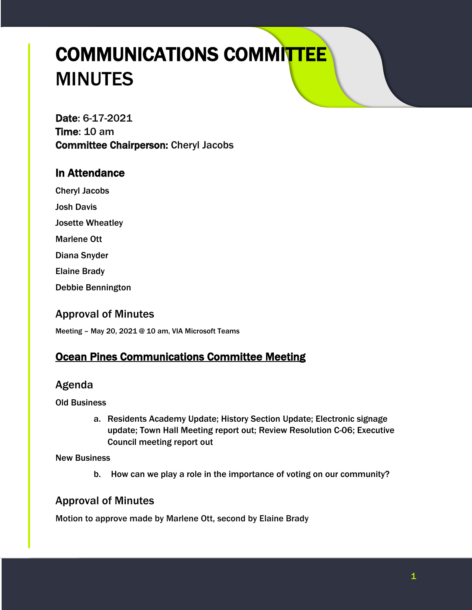# COMMUNICATIONS COMMITTEE MINUTES

Date: 6-17-2021 Time: 10 am Committee Chairperson: Cheryl Jacobs

## In Attendance

Cheryl Jacobs

Josh Davis

Josette Wheatley

Marlene Ott

Diana Snyder

Elaine Brady

Debbie Bennington

## Approval of Minutes

Meeting – May 20, 2021 @ 10 am, VIA Microsoft Teams

# **Ocean Pines Communications Committee Meeting**

## Agenda

Old Business

a. Residents Academy Update; History Section Update; Electronic signage update; Town Hall Meeting report out; Review Resolution C-06; Executive Council meeting report out

New Business

b. How can we play a role in the importance of voting on our community?

# Approval of Minutes

Motion to approve made by Marlene Ott, second by Elaine Brady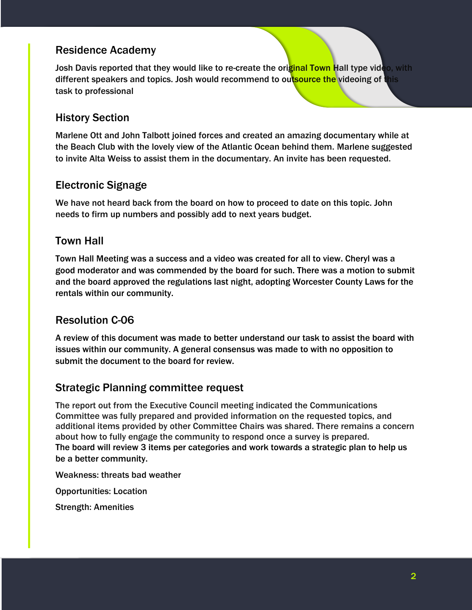## Residence Academy

Josh Davis reported that they would like to re-create the original Town Hall type video, with different speakers and topics. Josh would recommend to outsource the videoing of this task to professional

#### History Section

Marlene Ott and John Talbott joined forces and created an amazing documentary while at the Beach Club with the lovely view of the Atlantic Ocean behind them. Marlene suggested to invite Alta Weiss to assist them in the documentary. An invite has been requested.

#### Electronic Signage

We have not heard back from the board on how to proceed to date on this topic. John needs to firm up numbers and possibly add to next years budget.

#### Town Hall

Town Hall Meeting was a success and a video was created for all to view. Cheryl was a good moderator and was commended by the board for such. There was a motion to submit and the board approved the regulations last night, adopting Worcester County Laws for the rentals within our community.

## Resolution C-06

A review of this document was made to better understand our task to assist the board with issues within our community. A general consensus was made to with no opposition to submit the document to the board for review.

#### Strategic Planning committee request

The report out from the Executive Council meeting indicated the Communications Committee was fully prepared and provided information on the requested topics, and additional items provided by other Committee Chairs was shared. There remains a concern about how to fully engage the community to respond once a survey is prepared. The board will review 3 items per categories and work towards a strategic plan to help us be a better community.

Weakness: threats bad weather

Opportunities: Location

Strength: Amenities